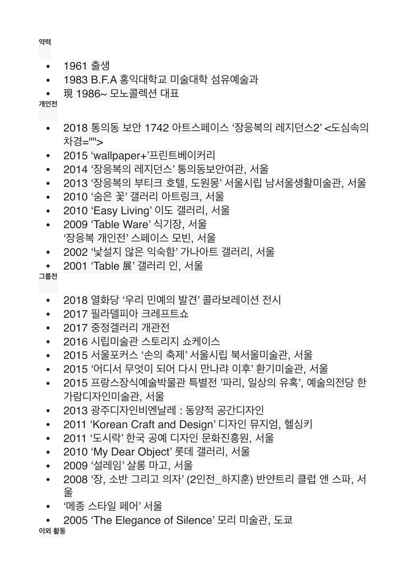## **이외 활동**

- 2005 'The Elegance of Silence' 모리 미술관, 도쿄
- '메종 스타일 페어' 서울
- 2009 '설레임' 살롱 마고, 서울 • 2008 '장, 소반 그리고 의자' (2인전\_하지훈) 반얀트리 클럽 앤 스파, 서 울
- 2010 'My Dear Object' 롯데 갤러리, 서울
- 2011 '도시락' 한국 공예 디자인 문화진흥원, 서울
- 2011 'Korean Craft and Design' 디자인 뮤지엄, 헬싱키
- 2013 광주디자인비엔날레 : 동양적 공간디자인
- 2015 '어디서 무엇이 되어 다시 만나랴 이후' 환기미술관, 서울 • 2015 프랑스장식예술박물관 특별전 '파리, 일상의 유혹', 예술의전당 한 가람디자인미술관, 서울
- 2015 서울포커스 '손의 축제' 서울시립 북서울미술관, 서울
- 2016 시립미술관 스토리지 쇼케이스
- 2017 중정겔러리 개관전
- 2017 필라델피아 크레프트쇼
- 2018 열화당 '우리 민예의 발견' 콜라보레이션 전시

**그룹전**

- 2001 'Table 展' 갤러리 인, 서울
- 2002 '낯설지 않은 익숙함' 가나아트 갤러리, 서울
- '장응복 개인전' 스페이스 모빈, 서울
- 2009 'Table Ware' 식기장, 서울
- 2010 'Easy Living' 이도 갤러리, 서울
- 2010 '숨은 꽃' 갤러리 아트링크, 서울
- 2013 '장응복의 부티크 호텔, 도원몽' 서울시립 남서울생활미술관, 서울
- 2014 '장응복의 레지던스' 통의동보안여관, 서울
- 2015 'wallpaper+'프린트베이커리
- 2018 통의동 보안 1742 아트스페이스 '장응복의 레지던스2' <도심속의 차경="">
- 現 1986~ 모노콜렉션 대표
- 1983 B.F.A 홍익대학교 미술대학 섬유예술과
- 1961 출생

**약력**

**개인전**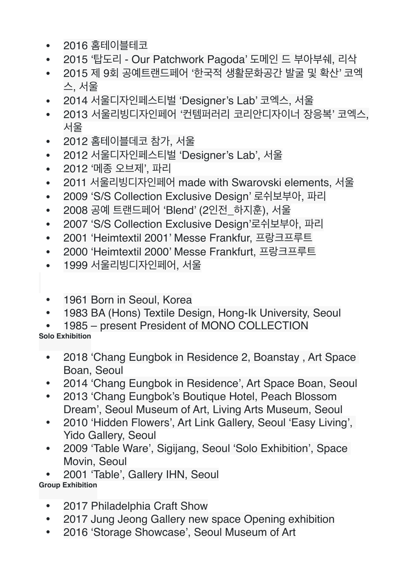- 2016 홈테이블테코
- 2015 '탑도리 Our Patchwork Pagoda' 도메인 드 부아부쉐, 리삭
- 2015 제 9회 공예트랜드페어 '한국적 생활문화공간 발굴 및 확산' 코엑 스, 서울
- 2014 서울디자인페스티벌 'Designer's Lab' 코엑스, 서울
- 2013 서울리빙디자인페어 '커템퍼러리 코리안디자이너 장응복' 코엑스, 서울
- 2012 홈테이블데코 참가, 서울
- 2012 서울디자인페스티벌 'Designer's Lab', 서울
- 2012 '메종 오브제', 파리
- 2011 서울리빙디자인페어 made with Swarovski elements, 서울
- 2009 'S/S Collection Exclusive Design' 로쉬보부아, 파리
- 2008 공예 트랜드페어 'Blend' (2인전\_하지훈), 서울
- 2007 'S/S Collection Exclusive Design'로쉬보부아, 파리
- 2001 'Heimtextil 2001' Messe Frankfur, 프랑크프루트
- 2000 'Heimtextil 2000' Messe Frankfurt, 프랑크프루트
- 1999 서울리빙디자인페어, 서울
- 1961 Born in Seoul, Korea
- 1983 BA (Hons) Textile Design, Hong-Ik University, Seoul
- 1985 present President of MONO COLLECTION **Solo Exhibition**
- - 2018 'Chang Eungbok in Residence 2, Boanstay , Art Space Boan, Seoul
	- 2014 'Chang Eungbok in Residence', Art Space Boan, Seoul
	- 2013 'Chang Eungbok's Boutique Hotel, Peach Blossom Dream', Seoul Museum of Art, Living Arts Museum, Seoul
	- 2010 'Hidden Flowers', Art Link Gallery, Seoul 'Easy Living', Yido Gallery, Seoul
	- 2009 'Table Ware', Sigijang, Seoul 'Solo Exhibition', Space Movin, Seoul

• 2001 'Table', Gallery IHN, Seoul **Group Exhibition**

- 2017 Philadelphia Craft Show
- 2017 Jung Jeong Gallery new space Opening exhibition
- 2016 'Storage Showcase', Seoul Museum of Art